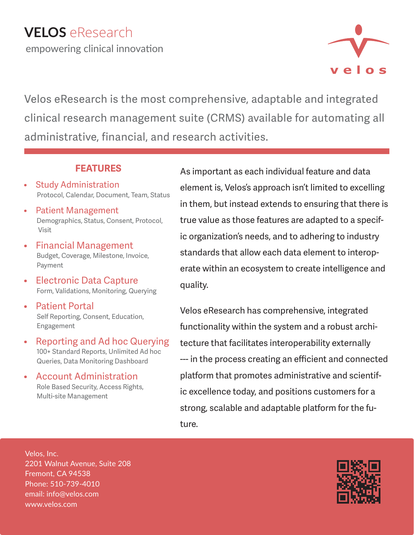

Velos eResearch is the most comprehensive, adaptable and integrated clinical research management suite (CRMS) available for automating all administrative, financial, and research activities.

## **FEATURES**

- Study Administration Protocol, Calendar, Document, Team, Status
- Patient Management Demographics, Status, Consent, Protocol, Visit
- Financial Management Budget, Coverage, Milestone, Invoice, Payment
- Electronic Data CaptureForm, Validations, Monitoring, Querying
- Patient Portal Self Reporting, Consent, Education, Engagement
- Reporting and Ad hoc Querying 100+ Standard Reports, Unlimited Ad hoc Queries, Data Monitoring Dashboard
- **Account Administration**<br>Role Based Security, Access Rights, Multi-site Management

As important as each individual feature and data element is, Velos's approach isn't limited to excelling in them, but instead extends to ensuring that there is true value as those features are adapted to a specific organization's needs, and to adhering to industry standards that allow each data element to interoperate within an ecosystem to create intelligence and quality.

Velos eResearch has comprehensive, integrated functionality within the system and a robust architecture that facilitates interoperability externally --- in the process creating an efficient and connected platform that promotes administrative and scientific excellence today, and positions customers for a strong, scalable and adaptable platform for the future.

Velos, Inc. 2201 Walnut Avenue, Suite 208 Fremont, CA 94538 Phone: 510-739-4010 email: info@velos.com www.velos.com